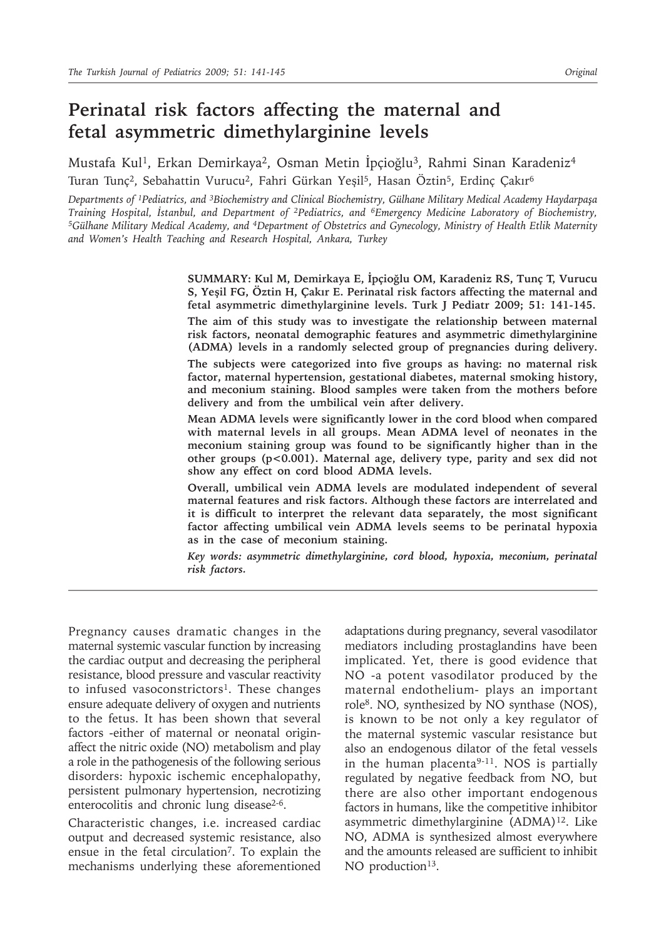# **Perinatal risk factors affecting the maternal and fetal asymmetric dimethylarginine levels**

Mustafa Kul<sup>1</sup>, Erkan Demirkaya<sup>2</sup>, Osman Metin İpçioğlu<sup>3</sup>, Rahmi Sinan Karadeniz<sup>4</sup> Turan Tunç2, Sebahattin Vurucu2, Fahri Gürkan Yeşil5, Hasan Öztin5, Erdinç Çakır6

*Departments of 1Pediatrics, and 3Biochemistry and Clinical Biochemistry, Gülhane Military Medical Academy Haydarpaşa*  Training Hospital, İstanbul, and Department of <sup>2</sup>Pediatrics, and <sup>6</sup>Emergency Medicine Laboratory of Biochemistry,<br><sup>5</sup>Gülhane Military Medical Academy, and <sup>4</sup>Department of Obstetrics and Gynecology, Ministry of Health Et *and Women's Health Teaching and Research Hospital, Ankara, Turkey*

> **SUMMARY: Kul M, Demirkaya E, İpçioğlu OM, Karadeniz RS, Tunç T, Vurucu S, Yeşil FG, Öztin H, Çakır E. Perinatal risk factors affecting the maternal and fetal asymmetric dimethylarginine levels. Turk J Pediatr 2009; 51: 141-145. The aim of this study was to investigate the relationship between maternal risk factors, neonatal demographic features and asymmetric dimethylarginine (ADMA) levels in a randomly selected group of pregnancies during delivery.**

> **The subjects were categorized into five groups as having: no maternal risk factor, maternal hypertension, gestational diabetes, maternal smoking history, and meconium staining. Blood samples were taken from the mothers before delivery and from the umbilical vein after delivery.**

> **Mean ADMA levels were significantly lower in the cord blood when compared with maternal levels in all groups. Mean ADMA level of neonates in the meconium staining group was found to be significantly higher than in the other groups (p<0.001). Maternal age, delivery type, parity and sex did not show any effect on cord blood ADMA levels.**

> **Overall, umbilical vein ADMA levels are modulated independent of several maternal features and risk factors. Although these factors are interrelated and it is difficult to interpret the relevant data separately, the most significant factor affecting umbilical vein ADMA levels seems to be perinatal hypoxia as in the case of meconium staining.**

> *Key words: asymmetric dimethylarginine, cord blood, hypoxia, meconium, perinatal risk factors.*

Pregnancy causes dramatic changes in the maternal systemic vascular function by increasing the cardiac output and decreasing the peripheral resistance, blood pressure and vascular reactivity to infused vasoconstrictors<sup>1</sup>. These changes ensure adequate delivery of oxygen and nutrients to the fetus. It has been shown that several factors -either of maternal or neonatal originaffect the nitric oxide (NO) metabolism and play a role in the pathogenesis of the following serious disorders: hypoxic ischemic encephalopathy, persistent pulmonary hypertension, necrotizing enterocolitis and chronic lung disease<sup>2-6</sup>.

Characteristic changes, i.e. increased cardiac output and decreased systemic resistance, also ensue in the fetal circulation7. To explain the mechanisms underlying these aforementioned

adaptations during pregnancy, several vasodilator mediators including prostaglandins have been implicated. Yet, there is good evidence that NO -a potent vasodilator produced by the maternal endothelium- plays an important role8. NO, synthesized by NO synthase (NOS), is known to be not only a key regulator of the maternal systemic vascular resistance but also an endogenous dilator of the fetal vessels in the human placenta<sup>9-11</sup>. NOS is partially regulated by negative feedback from NO, but there are also other important endogenous factors in humans, like the competitive inhibitor asymmetric dimethylarginine (ADMA)12. Like NO, ADMA is synthesized almost everywhere and the amounts released are sufficient to inhibit NO production<sup>13</sup>.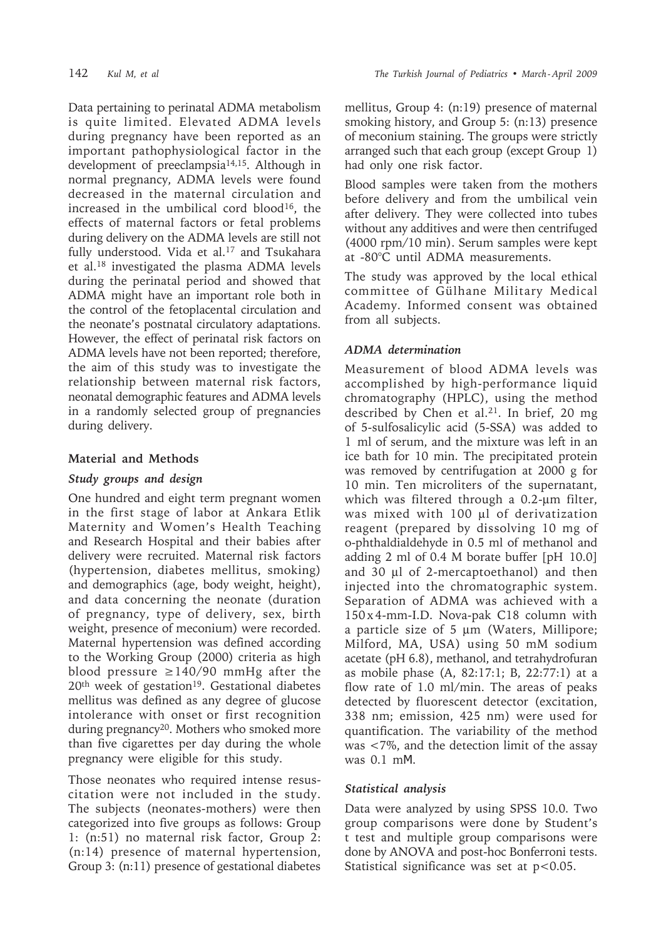Data pertaining to perinatal ADMA metabolism is quite limited. Elevated ADMA levels during pregnancy have been reported as an important pathophysiological factor in the development of preeclampsia14,15. Although in normal pregnancy, ADMA levels were found decreased in the maternal circulation and increased in the umbilical cord blood16, the effects of maternal factors or fetal problems during delivery on the ADMA levels are still not fully understood. Vida et al.<sup>17</sup> and Tsukahara et al.18 investigated the plasma ADMA levels during the perinatal period and showed that ADMA might have an important role both in the control of the fetoplacental circulation and the neonate's postnatal circulatory adaptations. However, the effect of perinatal risk factors on ADMA levels have not been reported; therefore, the aim of this study was to investigate the relationship between maternal risk factors, neonatal demographic features and ADMA levels in a randomly selected group of pregnancies during delivery.

## **Material and Methods**

## *Study groups and design*

One hundred and eight term pregnant women in the first stage of labor at Ankara Etlik Maternity and Women's Health Teaching and Research Hospital and their babies after delivery were recruited. Maternal risk factors (hypertension, diabetes mellitus, smoking) and demographics (age, body weight, height), and data concerning the neonate (duration of pregnancy, type of delivery, sex, birth weight, presence of meconium) were recorded. Maternal hypertension was defined according to the Working Group (2000) criteria as high blood pressure  $\geq$ 140/90 mmHg after the 20th week of gestation19. Gestational diabetes mellitus was defined as any degree of glucose intolerance with onset or first recognition during pregnancy<sup>20</sup>. Mothers who smoked more than five cigarettes per day during the whole pregnancy were eligible for this study.

Those neonates who required intense resuscitation were not included in the study. The subjects (neonates-mothers) were then categorized into five groups as follows: Group 1: (n:51) no maternal risk factor, Group 2: (n:14) presence of maternal hypertension, Group 3: (n:11) presence of gestational diabetes mellitus, Group 4: (n:19) presence of maternal smoking history, and Group 5: (n:13) presence of meconium staining. The groups were strictly arranged such that each group (except Group 1) had only one risk factor.

Blood samples were taken from the mothers before delivery and from the umbilical vein after delivery. They were collected into tubes without any additives and were then centrifuged (4000 rpm/10 min). Serum samples were kept at -80°C until ADMA measurements.

The study was approved by the local ethical committee of Gülhane Military Medical Academy. Informed consent was obtained from all subjects.

## *ADMA determination*

Measurement of blood ADMA levels was accomplished by high-performance liquid chromatography (HPLC), using the method described by Chen et al.<sup>21</sup>. In brief, 20 mg of 5-sulfosalicylic acid (5-SSA) was added to 1 ml of serum, and the mixture was left in an ice bath for 10 min. The precipitated protein was removed by centrifugation at 2000 g for 10 min. Ten microliters of the supernatant, which was filtered through a 0.2-um filter, was mixed with 100 µl of derivatization reagent (prepared by dissolving 10 mg of o-phthaldialdehyde in 0.5 ml of methanol and adding 2 ml of 0.4 M borate buffer [pH 10.0] and 30 µl of 2-mercaptoethanol) and then injected into the chromatographic system. Separation of ADMA was achieved with a 150 x 4-mm-I.D. Nova-pak C18 column with a particle size of 5 µm (Waters, Millipore; Milford, MA, USA) using 50 mM sodium acetate (pH 6.8), methanol, and tetrahydrofuran as mobile phase (A, 82:17:1; B, 22:77:1) at a flow rate of 1.0 ml/min. The areas of peaks detected by fluorescent detector (excitation, 338 nm; emission, 425 nm) were used for quantification. The variability of the method was <7%, and the detection limit of the assay was 0.1 mΜ.

## *Statistical analysis*

Data were analyzed by using SPSS 10.0. Two group comparisons were done by Student's t test and multiple group comparisons were done by ANOVA and post-hoc Bonferroni tests. Statistical significance was set at  $p < 0.05$ .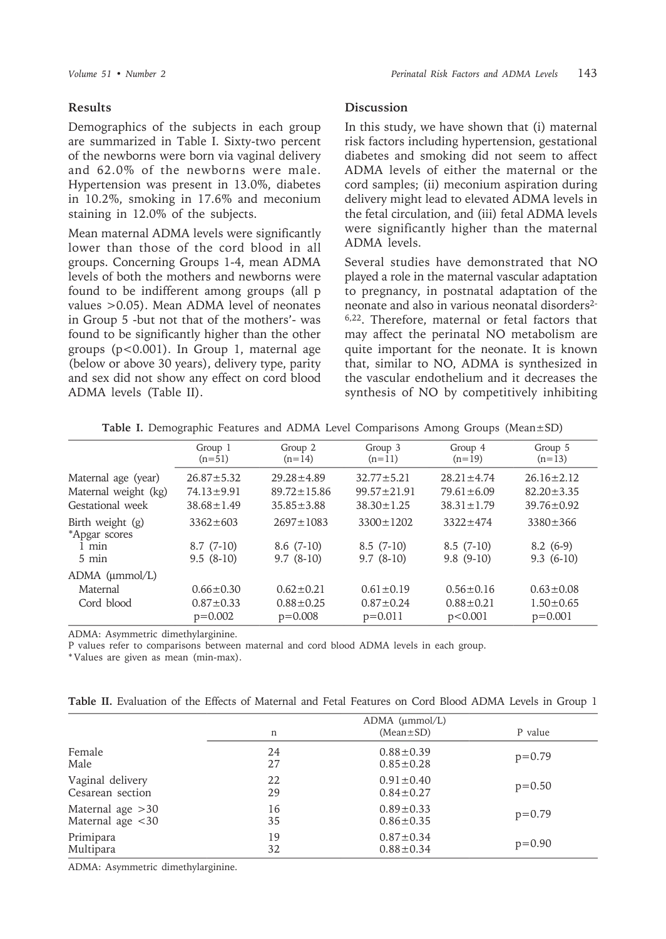#### **Results**

Demographics of the subjects in each group are summarized in Table I. Sixty-two percent of the newborns were born via vaginal delivery and 62.0% of the newborns were male. Hypertension was present in 13.0%, diabetes in 10.2%, smoking in 17.6% and meconium staining in 12.0% of the subjects.

Mean maternal ADMA levels were significantly lower than those of the cord blood in all groups. Concerning Groups 1-4, mean ADMA levels of both the mothers and newborns were found to be indifferent among groups (all p values >0.05). Mean ADMA level of neonates in Group 5 -but not that of the mothers'- was found to be significantly higher than the other groups (p<0.001). In Group 1, maternal age (below or above 30 years), delivery type, parity and sex did not show any effect on cord blood ADMA levels (Table II).

#### **Discussion**

In this study, we have shown that (i) maternal risk factors including hypertension, gestational diabetes and smoking did not seem to affect ADMA levels of either the maternal or the cord samples; (ii) meconium aspiration during delivery might lead to elevated ADMA levels in the fetal circulation, and (iii) fetal ADMA levels were significantly higher than the maternal ADMA levels.

Several studies have demonstrated that NO played a role in the maternal vascular adaptation to pregnancy, in postnatal adaptation of the neonate and also in various neonatal disorders<sup>2-</sup> 6,22. Therefore, maternal or fetal factors that may affect the perinatal NO metabolism are quite important for the neonate. It is known that, similar to NO, ADMA is synthesized in the vascular endothelium and it decreases the synthesis of NO by competitively inhibiting

|                                     | Group 1          | Group 2           | Group 3           | Group 4          | Group 5          |
|-------------------------------------|------------------|-------------------|-------------------|------------------|------------------|
|                                     | $(n=51)$         | $(n=14)$          | $(n=11)$          | $(n=19)$         | $(n=13)$         |
| Maternal age (year)                 | $26.87 \pm 5.32$ | $29.28 \pm 4.89$  | $32.77 \pm 5.21$  | $28.21 \pm 4.74$ | $26.16 \pm 2.12$ |
| Maternal weight (kg)                | $74.13 \pm 9.91$ | $89.72 \pm 15.86$ | $99.57 \pm 21.91$ | $79.61 \pm 6.09$ | $82.20 \pm 3.35$ |
| Gestational week                    | $38.68 \pm 1.49$ | $35.85 \pm 3.88$  | $38.30 \pm 1.25$  | $38.31 \pm 1.79$ | $39.76 \pm 0.92$ |
| Birth weight $(g)$<br>*Apgar scores | $3362 \pm 603$   | $2697 \pm 1083$   | $3300 \pm 1202$   | $3322 \pm 474$   | $3380 \pm 366$   |
| $1$ min                             | $8.7(7-10)$      | $8.6(7-10)$       | $8.5(7-10)$       | $8.5(7-10)$      | $8.2(6-9)$       |
| $5 \text{ min}$                     | $9.5(8-10)$      | $9.7(8-10)$       | $9.7(8-10)$       | $9.8(9-10)$      | $9.3(6-10)$      |
| ADMA (µmmol/L)                      |                  |                   |                   |                  |                  |
| Maternal                            | $0.66 \pm 0.30$  | $0.62 \pm 0.21$   | $0.61 \pm 0.19$   | $0.56 \pm 0.16$  | $0.63 \pm 0.08$  |
| Cord blood                          | $0.87 \pm 0.33$  | $0.88 \pm 0.25$   | $0.87 \pm 0.24$   | $0.88 \pm 0.21$  | $1.50 \pm 0.65$  |
|                                     | $p=0.002$        | $p=0.008$         | $p=0.011$         | p<0.001          | $p=0.001$        |

**Table I.** Demographic Features and ADMA Level Comparisons Among Groups (Mean±SD)

ADMA: Asymmetric dimethylarginine.

P values refer to comparisons between maternal and cord blood ADMA levels in each group.

\* Values are given as mean (min-max).

| Table II. Evaluation of the Effects of Maternal and Fetal Features on Cord Blood ADMA Levels in Group 1 |  |
|---------------------------------------------------------------------------------------------------------|--|
|---------------------------------------------------------------------------------------------------------|--|

|                     | n  | $ADMA$ ( $\mu$ mmol/L)<br>$(Mean \pm SD)$ | P value  |
|---------------------|----|-------------------------------------------|----------|
| Female              | 24 | $0.88 \pm 0.39$                           | $p=0.79$ |
| Male                | 27 | $0.85 \pm 0.28$                           |          |
| Vaginal delivery    | 22 | $0.91 \pm 0.40$                           | $p=0.50$ |
| Cesarean section    | 29 | $0.84 \pm 0.27$                           |          |
| Maternal age $>30$  | 16 | $0.89 \pm 0.33$                           | $p=0.79$ |
| Maternal age $<$ 30 | 35 | $0.86 \pm 0.35$                           |          |
| Primipara           | 19 | $0.87 \pm 0.34$                           | $p=0.90$ |
| Multipara           | 32 | $0.88 \pm 0.34$                           |          |

ADMA: Asymmetric dimethylarginine.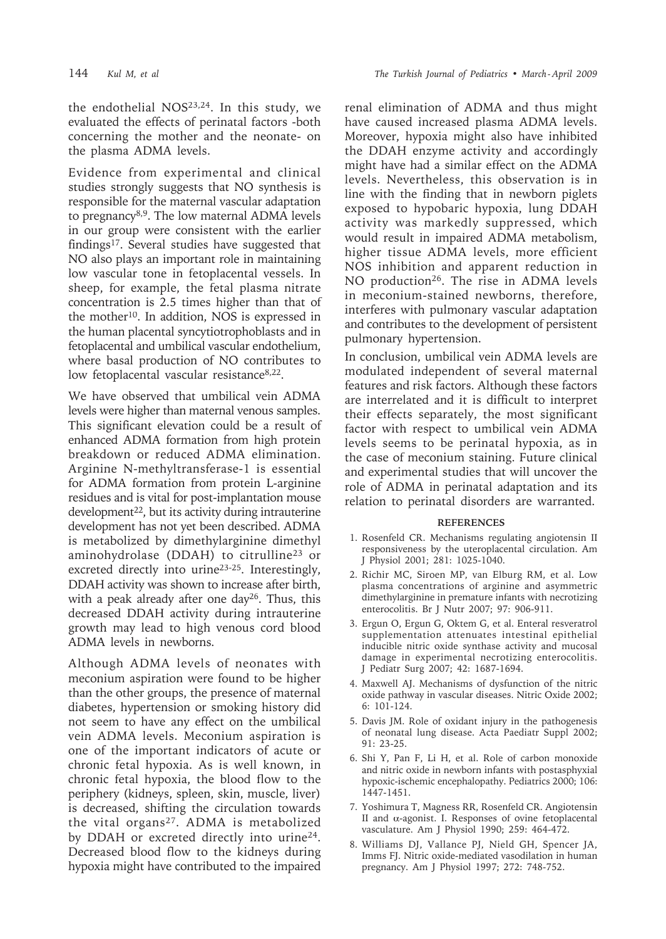the endothelial NOS23,24. In this study, we evaluated the effects of perinatal factors -both concerning the mother and the neonate- on the plasma ADMA levels.

Evidence from experimental and clinical studies strongly suggests that NO synthesis is responsible for the maternal vascular adaptation to pregnancy<sup>8,9</sup>. The low maternal ADMA levels in our group were consistent with the earlier findings17. Several studies have suggested that NO also plays an important role in maintaining low vascular tone in fetoplacental vessels. In sheep, for example, the fetal plasma nitrate concentration is 2.5 times higher than that of the mother10. In addition, NOS is expressed in the human placental syncytiotrophoblasts and in fetoplacental and umbilical vascular endothelium, where basal production of NO contributes to low fetoplacental vascular resistance<sup>8,22</sup>.

We have observed that umbilical vein ADMA levels were higher than maternal venous samples. This significant elevation could be a result of enhanced ADMA formation from high protein breakdown or reduced ADMA elimination. Arginine N-methyltransferase-1 is essential for ADMA formation from protein L-arginine residues and is vital for post-implantation mouse development<sup>22</sup>, but its activity during intrauterine development has not yet been described. ADMA is metabolized by dimethylarginine dimethyl aminohydrolase (DDAH) to citrulline<sup>23</sup> or excreted directly into urine23-25. Interestingly, DDAH activity was shown to increase after birth, with a peak already after one day<sup>26</sup>. Thus, this decreased DDAH activity during intrauterine growth may lead to high venous cord blood ADMA levels in newborns.

Although ADMA levels of neonates with meconium aspiration were found to be higher than the other groups, the presence of maternal diabetes, hypertension or smoking history did not seem to have any effect on the umbilical vein ADMA levels. Meconium aspiration is one of the important indicators of acute or chronic fetal hypoxia. As is well known, in chronic fetal hypoxia, the blood flow to the periphery (kidneys, spleen, skin, muscle, liver) is decreased, shifting the circulation towards the vital organs<sup>27</sup>. ADMA is metabolized by DDAH or excreted directly into urine<sup>24</sup>. Decreased blood flow to the kidneys during hypoxia might have contributed to the impaired

renal elimination of ADMA and thus might have caused increased plasma ADMA levels. Moreover, hypoxia might also have inhibited the DDAH enzyme activity and accordingly might have had a similar effect on the ADMA levels. Nevertheless, this observation is in line with the finding that in newborn piglets exposed to hypobaric hypoxia, lung DDAH activity was markedly suppressed, which would result in impaired ADMA metabolism, higher tissue ADMA levels, more efficient NOS inhibition and apparent reduction in NO production<sup>26</sup>. The rise in ADMA levels in meconium-stained newborns, therefore, interferes with pulmonary vascular adaptation and contributes to the development of persistent pulmonary hypertension.

In conclusion, umbilical vein ADMA levels are modulated independent of several maternal features and risk factors. Although these factors are interrelated and it is difficult to interpret their effects separately, the most significant factor with respect to umbilical vein ADMA levels seems to be perinatal hypoxia, as in the case of meconium staining. Future clinical and experimental studies that will uncover the role of ADMA in perinatal adaptation and its relation to perinatal disorders are warranted.

#### **REFERENCES**

- 1. Rosenfeld CR. Mechanisms regulating angiotensin II responsiveness by the uteroplacental circulation. Am J Physiol 2001; 281: 1025-1040.
- 2. Richir MC, Siroen MP, van Elburg RM, et al. Low plasma concentrations of arginine and asymmetric dimethylarginine in premature infants with necrotizing enterocolitis. Br J Nutr 2007; 97: 906-911.
- 3. Ergun O, Ergun G, Oktem G, et al. Enteral resveratrol supplementation attenuates intestinal epithelial inducible nitric oxide synthase activity and mucosal damage in experimental necrotizing enterocolitis. J Pediatr Surg 2007; 42: 1687-1694.
- 4. Maxwell AJ. Mechanisms of dysfunction of the nitric oxide pathway in vascular diseases. Nitric Oxide 2002; 6: 101-124.
- 5. Davis JM. Role of oxidant injury in the pathogenesis of neonatal lung disease. Acta Paediatr Suppl 2002; 91: 23-25.
- 6. Shi Y, Pan F, Li H, et al. Role of carbon monoxide and nitric oxide in newborn infants with postasphyxial hypoxic-ischemic encephalopathy. Pediatrics 2000; 106: 1447-1451.
- 7. Yoshimura T, Magness RR, Rosenfeld CR. Angiotensin II and α-agonist. I. Responses of ovine fetoplacental vasculature. Am J Physiol 1990; 259: 464-472.
- 8. Williams DJ, Vallance PJ, Nield GH, Spencer JA, Imms FJ. Nitric oxide-mediated vasodilation in human pregnancy. Am J Physiol 1997; 272: 748-752.